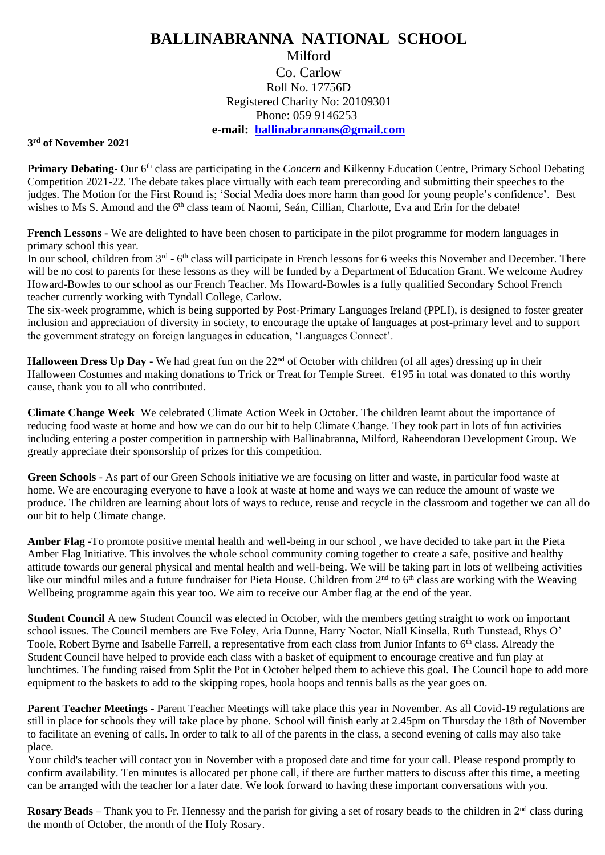## **BALLINABRANNA NATIONAL SCHOOL** Milford Co. Carlow Roll No. 17756D Registered Charity No: 20109301 Phone: 059 9146253

**e-mail: [ballinabrannans@gmail.com](mailto:ballinabrannans@gmail.com)**

## **3 rd of November 2021**

**Primary Debating-** Our 6th class are participating in the *Concern* and Kilkenny Education Centre, Primary School Debating Competition 2021-22. The debate takes place virtually with each team prerecording and submitting their speeches to the judges. The Motion for the First Round is; 'Social Media does more harm than good for young people's confidence'. Best wishes to Ms S. Amond and the 6<sup>th</sup> class team of Naomi, Seán, Cillian, Charlotte, Eva and Erin for the debate!

**French Lessons -** We are delighted to have been chosen to participate in the pilot programme for modern languages in primary school this year.

In our school, children from 3<sup>rd</sup> - 6<sup>th</sup> class will participate in French lessons for 6 weeks this November and December. There will be no cost to parents for these lessons as they will be funded by a Department of Education Grant. We welcome Audrey Howard-Bowles to our school as our French Teacher. Ms Howard-Bowles is a fully qualified Secondary School French teacher currently working with Tyndall College, Carlow.

The six-week programme, which is being supported by Post-Primary Languages Ireland (PPLI), is designed to foster greater inclusion and appreciation of diversity in society, to encourage the uptake of languages at post-primary level and to support the government strategy on foreign languages in education, 'Languages Connect'.

Halloween Dress Up Day - We had great fun on the 22<sup>nd</sup> of October with children (of all ages) dressing up in their Halloween Costumes and making donations to Trick or Treat for Temple Street.  $\epsilon$ 195 in total was donated to this worthy cause, thank you to all who contributed.

**Climate Change Week** We celebrated Climate Action Week in October. The children learnt about the importance of reducing food waste at home and how we can do our bit to help Climate Change. They took part in lots of fun activities including entering a poster competition in partnership with Ballinabranna, Milford, Raheendoran Development Group. We greatly appreciate their sponsorship of prizes for this competition.

**Green Schools** - As part of our Green Schools initiative we are focusing on litter and waste, in particular food waste at home. We are encouraging everyone to have a look at waste at home and ways we can reduce the amount of waste we produce. The children are learning about lots of ways to reduce, reuse and recycle in the classroom and together we can all do our bit to help Climate change.

**Amber Flag** -To promote positive mental health and well-being in our school , we have decided to take part in the Pieta Amber Flag Initiative. This involves the whole school community coming together to create a safe, positive and healthy attitude towards our general physical and mental health and well-being. We will be taking part in lots of wellbeing activities like our mindful miles and a future fundraiser for Pieta House. Children from 2<sup>nd</sup> to 6<sup>th</sup> class are working with the Weaving Wellbeing programme again this year too. We aim to receive our Amber flag at the end of the year.

**Student Council** A new Student Council was elected in October, with the members getting straight to work on important school issues. The Council members are Eve Foley, Aria Dunne, Harry Noctor, Niall Kinsella, Ruth Tunstead, Rhys O' Toole, Robert Byrne and Isabelle Farrell, a representative from each class from Junior Infants to 6th class. Already the Student Council have helped to provide each class with a basket of equipment to encourage creative and fun play at lunchtimes. The funding raised from Split the Pot in October helped them to achieve this goal. The Council hope to add more equipment to the baskets to add to the skipping ropes, hoola hoops and tennis balls as the year goes on.

**Parent Teacher Meetings** - Parent Teacher Meetings will take place this year in November. As all Covid-19 regulations are still in place for schools they will take place by phone. School will finish early at 2.45pm on Thursday the 18th of November to facilitate an evening of calls. In order to talk to all of the parents in the class, a second evening of calls may also take place.

Your child's teacher will contact you in November with a proposed date and time for your call. Please respond promptly to confirm availability. Ten minutes is allocated per phone call, if there are further matters to discuss after this time, a meeting can be arranged with the teacher for a later date. We look forward to having these important conversations with you.

**Rosary Beads** – Thank you to Fr. Hennessy and the parish for giving a set of rosary beads to the children in 2<sup>nd</sup> class during the month of October, the month of the Holy Rosary.